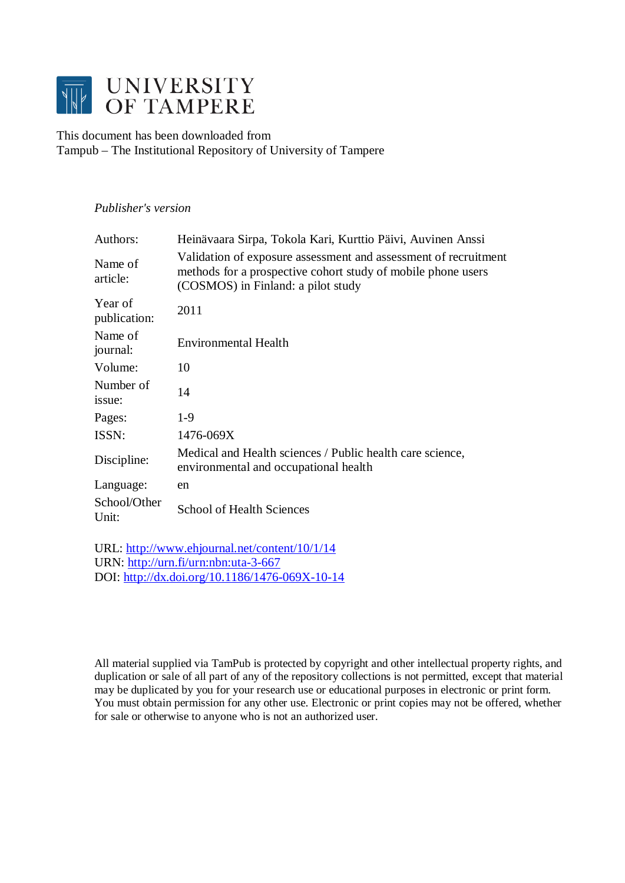

This document has been downloaded from Tampub – The Institutional Repository of University of Tampere

# *Publisher's version*

| Authors:                | Heinävaara Sirpa, Tokola Kari, Kurttio Päivi, Auvinen Anssi                                                                                                           |
|-------------------------|-----------------------------------------------------------------------------------------------------------------------------------------------------------------------|
| Name of<br>article:     | Validation of exposure assessment and assessment of recruitment<br>methods for a prospective cohort study of mobile phone users<br>(COSMOS) in Finland: a pilot study |
| Year of<br>publication: | 2011                                                                                                                                                                  |
| Name of<br>journal:     | <b>Environmental Health</b>                                                                                                                                           |
| Volume:                 | 10                                                                                                                                                                    |
| Number of<br>issue:     | 14                                                                                                                                                                    |
| Pages:                  | $1-9$                                                                                                                                                                 |
| ISSN:                   | 1476-069X                                                                                                                                                             |
| Discipline:             | Medical and Health sciences / Public health care science,<br>environmental and occupational health                                                                    |
| Language:               | en                                                                                                                                                                    |
| School/Other<br>Unit:   | <b>School of Health Sciences</b>                                                                                                                                      |

URL:<http://www.ehjournal.net/content/10/1/14> URN: <http://urn.fi/urn:nbn:uta-3-667> DOI: <http://dx.doi.org/10.1186/1476-069X-10-14>

All material supplied via TamPub is protected by copyright and other intellectual property rights, and duplication or sale of all part of any of the repository collections is not permitted, except that material may be duplicated by you for your research use or educational purposes in electronic or print form. You must obtain permission for any other use. Electronic or print copies may not be offered, whether for sale or otherwise to anyone who is not an authorized user.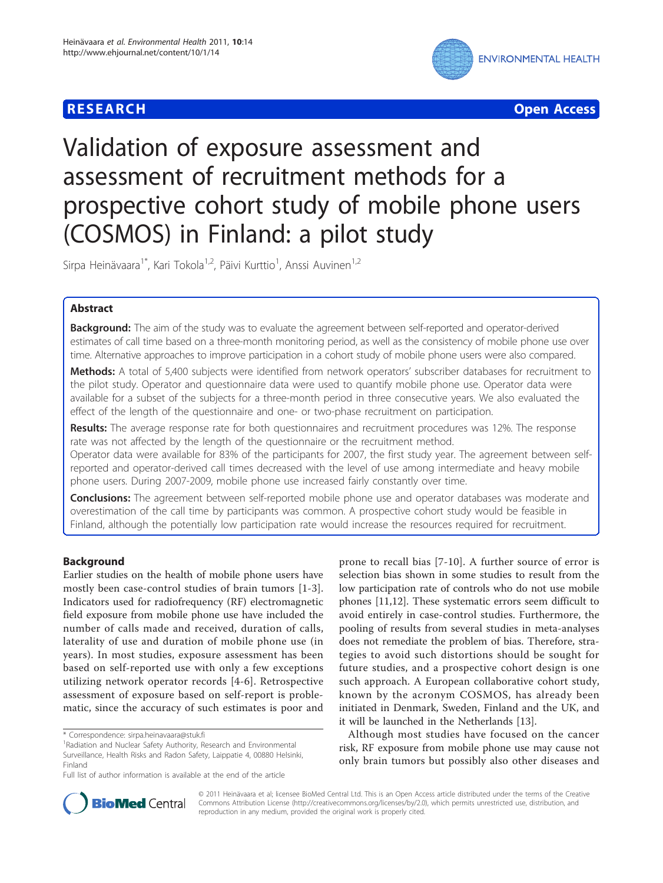



# Validation of exposure assessment and assessment of recruitment methods for a prospective cohort study of mobile phone users (COSMOS) in Finland: a pilot study

Sirpa Heinävaara<sup>1\*</sup>, Kari Tokola<sup>1,2</sup>, Päivi Kurttio<sup>1</sup>, Anssi Auvinen<sup>1,2</sup>

# Abstract

**Background:** The aim of the study was to evaluate the agreement between self-reported and operator-derived estimates of call time based on a three-month monitoring period, as well as the consistency of mobile phone use over time. Alternative approaches to improve participation in a cohort study of mobile phone users were also compared.

Methods: A total of 5,400 subjects were identified from network operators' subscriber databases for recruitment to the pilot study. Operator and questionnaire data were used to quantify mobile phone use. Operator data were available for a subset of the subjects for a three-month period in three consecutive years. We also evaluated the effect of the length of the questionnaire and one- or two-phase recruitment on participation.

Results: The average response rate for both questionnaires and recruitment procedures was 12%. The response rate was not affected by the length of the questionnaire or the recruitment method.

Operator data were available for 83% of the participants for 2007, the first study year. The agreement between selfreported and operator-derived call times decreased with the level of use among intermediate and heavy mobile phone users. During 2007-2009, mobile phone use increased fairly constantly over time.

**Conclusions:** The agreement between self-reported mobile phone use and operator databases was moderate and overestimation of the call time by participants was common. A prospective cohort study would be feasible in Finland, although the potentially low participation rate would increase the resources required for recruitment.

# Background

Earlier studies on the health of mobile phone users have mostly been case-control studies of brain tumors [\[1-3](#page-9-0)]. Indicators used for radiofrequency (RF) electromagnetic field exposure from mobile phone use have included the number of calls made and received, duration of calls, laterality of use and duration of mobile phone use (in years). In most studies, exposure assessment has been based on self-reported use with only a few exceptions utilizing network operator records [[4-6\]](#page-9-0). Retrospective assessment of exposure based on self-report is problematic, since the accuracy of such estimates is poor and

prone to recall bias [[7-10\]](#page-9-0). A further source of error is selection bias shown in some studies to result from the low participation rate of controls who do not use mobile phones [\[11,12](#page-9-0)]. These systematic errors seem difficult to avoid entirely in case-control studies. Furthermore, the pooling of results from several studies in meta-analyses does not remediate the problem of bias. Therefore, strategies to avoid such distortions should be sought for future studies, and a prospective cohort design is one such approach. A European collaborative cohort study, known by the acronym COSMOS, has already been initiated in Denmark, Sweden, Finland and the UK, and it will be launched in the Netherlands [\[13](#page-9-0)].

Although most studies have focused on the cancer risk, RF exposure from mobile phone use may cause not only brain tumors but possibly also other diseases and



© 2011 Heinävaara et al; licensee BioMed Central Ltd. This is an Open Access article distributed under the terms of the Creative Commons Attribution License [\(http://creativecommons.org/licenses/by/2.0](http://creativecommons.org/licenses/by/2.0)), which permits unrestricted use, distribution, and reproduction in any medium, provided the original work is properly cited.

<sup>\*</sup> Correspondence: [sirpa.heinavaara@stuk.fi](mailto:sirpa.heinavaara@stuk.fi)

<sup>&</sup>lt;sup>1</sup> Radiation and Nuclear Safety Authority, Research and Environmental Surveillance, Health Risks and Radon Safety, Laippatie 4, 00880 Helsinki, Finland

Full list of author information is available at the end of the article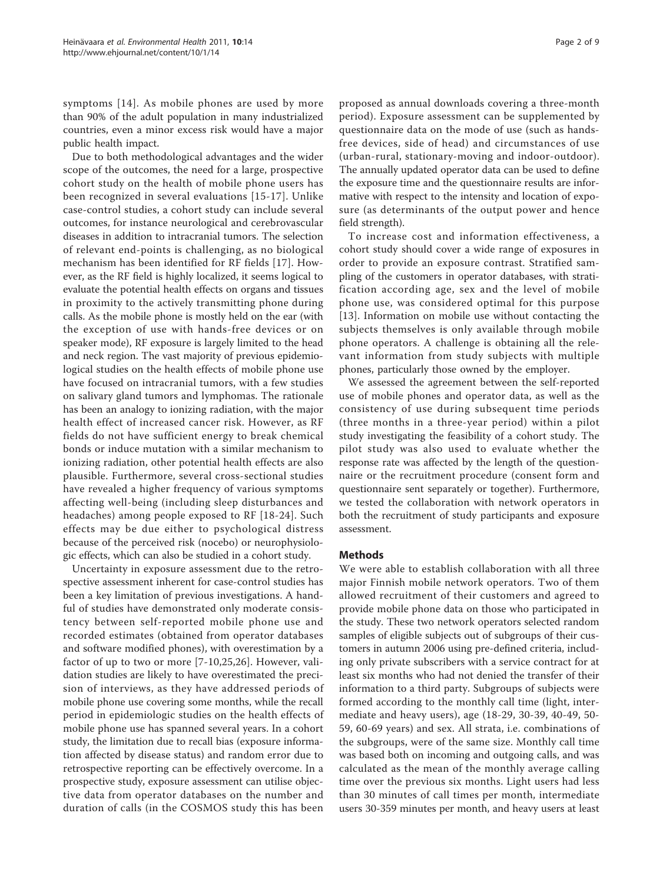symptoms [[14](#page-9-0)]. As mobile phones are used by more than 90% of the adult population in many industrialized countries, even a minor excess risk would have a major public health impact.

Due to both methodological advantages and the wider scope of the outcomes, the need for a large, prospective cohort study on the health of mobile phone users has been recognized in several evaluations [[15](#page-9-0)-[17](#page-9-0)]. Unlike case-control studies, a cohort study can include several outcomes, for instance neurological and cerebrovascular diseases in addition to intracranial tumors. The selection of relevant end-points is challenging, as no biological mechanism has been identified for RF fields [[17](#page-9-0)]. However, as the RF field is highly localized, it seems logical to evaluate the potential health effects on organs and tissues in proximity to the actively transmitting phone during calls. As the mobile phone is mostly held on the ear (with the exception of use with hands-free devices or on speaker mode), RF exposure is largely limited to the head and neck region. The vast majority of previous epidemiological studies on the health effects of mobile phone use have focused on intracranial tumors, with a few studies on salivary gland tumors and lymphomas. The rationale has been an analogy to ionizing radiation, with the major health effect of increased cancer risk. However, as RF fields do not have sufficient energy to break chemical bonds or induce mutation with a similar mechanism to ionizing radiation, other potential health effects are also plausible. Furthermore, several cross-sectional studies have revealed a higher frequency of various symptoms affecting well-being (including sleep disturbances and headaches) among people exposed to RF [[18](#page-9-0)-[24](#page-9-0)]. Such effects may be due either to psychological distress because of the perceived risk (nocebo) or neurophysiologic effects, which can also be studied in a cohort study.

Uncertainty in exposure assessment due to the retrospective assessment inherent for case-control studies has been a key limitation of previous investigations. A handful of studies have demonstrated only moderate consistency between self-reported mobile phone use and recorded estimates (obtained from operator databases and software modified phones), with overestimation by a factor of up to two or more [\[7](#page-9-0)-[10,25](#page-9-0),[26\]](#page-9-0). However, validation studies are likely to have overestimated the precision of interviews, as they have addressed periods of mobile phone use covering some months, while the recall period in epidemiologic studies on the health effects of mobile phone use has spanned several years. In a cohort study, the limitation due to recall bias (exposure information affected by disease status) and random error due to retrospective reporting can be effectively overcome. In a prospective study, exposure assessment can utilise objective data from operator databases on the number and duration of calls (in the COSMOS study this has been

proposed as annual downloads covering a three-month period). Exposure assessment can be supplemented by questionnaire data on the mode of use (such as handsfree devices, side of head) and circumstances of use (urban-rural, stationary-moving and indoor-outdoor). The annually updated operator data can be used to define the exposure time and the questionnaire results are informative with respect to the intensity and location of exposure (as determinants of the output power and hence field strength).

To increase cost and information effectiveness, a cohort study should cover a wide range of exposures in order to provide an exposure contrast. Stratified sampling of the customers in operator databases, with stratification according age, sex and the level of mobile phone use, was considered optimal for this purpose [[13\]](#page-9-0). Information on mobile use without contacting the subjects themselves is only available through mobile phone operators. A challenge is obtaining all the relevant information from study subjects with multiple phones, particularly those owned by the employer.

We assessed the agreement between the self-reported use of mobile phones and operator data, as well as the consistency of use during subsequent time periods (three months in a three-year period) within a pilot study investigating the feasibility of a cohort study. The pilot study was also used to evaluate whether the response rate was affected by the length of the questionnaire or the recruitment procedure (consent form and questionnaire sent separately or together). Furthermore, we tested the collaboration with network operators in both the recruitment of study participants and exposure assessment.

#### Methods

We were able to establish collaboration with all three major Finnish mobile network operators. Two of them allowed recruitment of their customers and agreed to provide mobile phone data on those who participated in the study. These two network operators selected random samples of eligible subjects out of subgroups of their customers in autumn 2006 using pre-defined criteria, including only private subscribers with a service contract for at least six months who had not denied the transfer of their information to a third party. Subgroups of subjects were formed according to the monthly call time (light, intermediate and heavy users), age (18-29, 30-39, 40-49, 50- 59, 60-69 years) and sex. All strata, i.e. combinations of the subgroups, were of the same size. Monthly call time was based both on incoming and outgoing calls, and was calculated as the mean of the monthly average calling time over the previous six months. Light users had less than 30 minutes of call times per month, intermediate users 30-359 minutes per month, and heavy users at least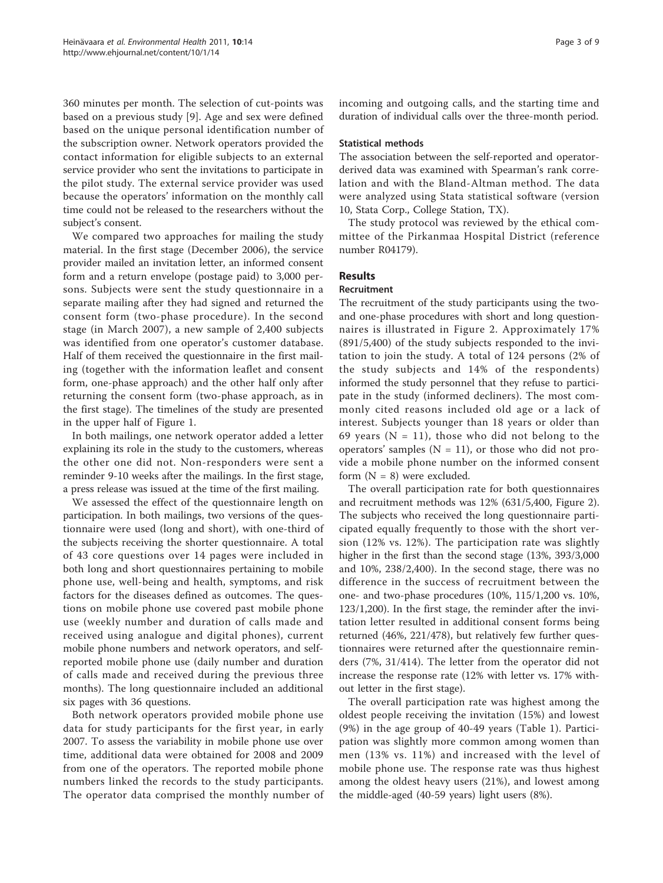360 minutes per month. The selection of cut-points was based on a previous study [[9\]](#page-9-0). Age and sex were defined based on the unique personal identification number of the subscription owner. Network operators provided the contact information for eligible subjects to an external service provider who sent the invitations to participate in the pilot study. The external service provider was used because the operators' information on the monthly call time could not be released to the researchers without the subject's consent.

We compared two approaches for mailing the study material. In the first stage (December 2006), the service provider mailed an invitation letter, an informed consent form and a return envelope (postage paid) to 3,000 persons. Subjects were sent the study questionnaire in a separate mailing after they had signed and returned the consent form (two-phase procedure). In the second stage (in March 2007), a new sample of 2,400 subjects was identified from one operator's customer database. Half of them received the questionnaire in the first mailing (together with the information leaflet and consent form, one-phase approach) and the other half only after returning the consent form (two-phase approach, as in the first stage). The timelines of the study are presented in the upper half of Figure [1](#page-4-0).

In both mailings, one network operator added a letter explaining its role in the study to the customers, whereas the other one did not. Non-responders were sent a reminder 9-10 weeks after the mailings. In the first stage, a press release was issued at the time of the first mailing.

We assessed the effect of the questionnaire length on participation. In both mailings, two versions of the questionnaire were used (long and short), with one-third of the subjects receiving the shorter questionnaire. A total of 43 core questions over 14 pages were included in both long and short questionnaires pertaining to mobile phone use, well-being and health, symptoms, and risk factors for the diseases defined as outcomes. The questions on mobile phone use covered past mobile phone use (weekly number and duration of calls made and received using analogue and digital phones), current mobile phone numbers and network operators, and selfreported mobile phone use (daily number and duration of calls made and received during the previous three months). The long questionnaire included an additional six pages with 36 questions.

Both network operators provided mobile phone use data for study participants for the first year, in early 2007. To assess the variability in mobile phone use over time, additional data were obtained for 2008 and 2009 from one of the operators. The reported mobile phone numbers linked the records to the study participants. The operator data comprised the monthly number of incoming and outgoing calls, and the starting time and duration of individual calls over the three-month period.

#### Statistical methods

The association between the self-reported and operatorderived data was examined with Spearman's rank correlation and with the Bland-Altman method. The data were analyzed using Stata statistical software (version 10, Stata Corp., College Station, TX).

The study protocol was reviewed by the ethical committee of the Pirkanmaa Hospital District (reference number R04179).

## Results

### Recruitment

The recruitment of the study participants using the twoand one-phase procedures with short and long questionnaires is illustrated in Figure [2](#page-5-0). Approximately 17% (891/5,400) of the study subjects responded to the invitation to join the study. A total of 124 persons (2% of the study subjects and 14% of the respondents) informed the study personnel that they refuse to participate in the study (informed decliners). The most commonly cited reasons included old age or a lack of interest. Subjects younger than 18 years or older than 69 years ( $N = 11$ ), those who did not belong to the operators' samples ( $N = 11$ ), or those who did not provide a mobile phone number on the informed consent form  $(N = 8)$  were excluded.

The overall participation rate for both questionnaires and recruitment methods was 12% (631/5,400, Figure [2](#page-5-0)). The subjects who received the long questionnaire participated equally frequently to those with the short version (12% vs. 12%). The participation rate was slightly higher in the first than the second stage (13%, 393/3,000 and 10%, 238/2,400). In the second stage, there was no difference in the success of recruitment between the one- and two-phase procedures (10%, 115/1,200 vs. 10%, 123/1,200). In the first stage, the reminder after the invitation letter resulted in additional consent forms being returned (46%, 221/478), but relatively few further questionnaires were returned after the questionnaire reminders (7%, 31/414). The letter from the operator did not increase the response rate (12% with letter vs. 17% without letter in the first stage).

The overall participation rate was highest among the oldest people receiving the invitation (15%) and lowest (9%) in the age group of 40-49 years (Table [1\)](#page-5-0). Participation was slightly more common among women than men (13% vs. 11%) and increased with the level of mobile phone use. The response rate was thus highest among the oldest heavy users (21%), and lowest among the middle-aged (40-59 years) light users (8%).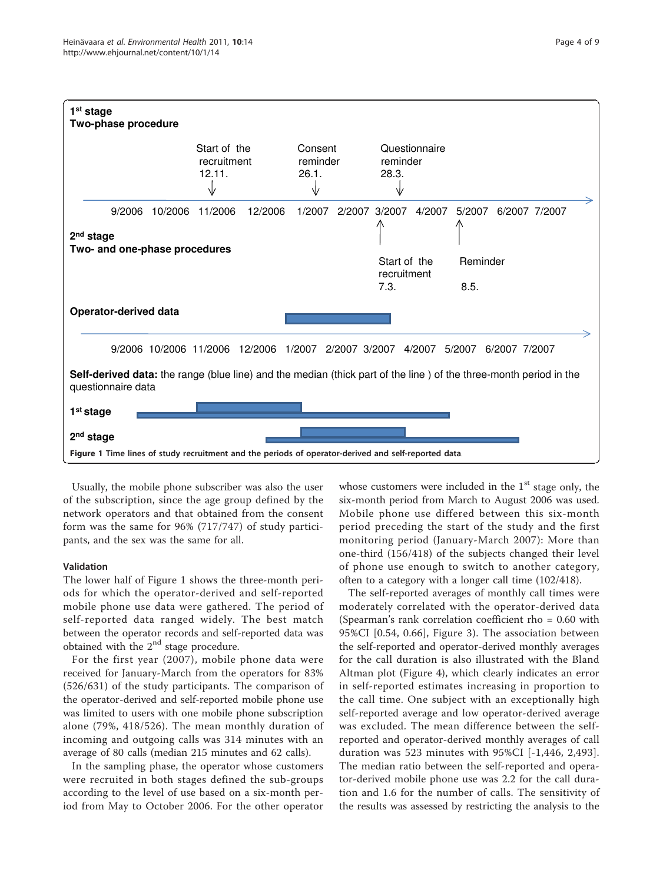<span id="page-4-0"></span>

Usually, the mobile phone subscriber was also the user of the subscription, since the age group defined by the network operators and that obtained from the consent form was the same for 96% (717/747) of study participants, and the sex was the same for all.

#### Validation

The lower half of Figure 1 shows the three-month periods for which the operator-derived and self-reported mobile phone use data were gathered. The period of self-reported data ranged widely. The best match between the operator records and self-reported data was obtained with the 2<sup>nd</sup> stage procedure.

For the first year (2007), mobile phone data were received for January-March from the operators for 83% (526/631) of the study participants. The comparison of the operator-derived and self-reported mobile phone use was limited to users with one mobile phone subscription alone (79%, 418/526). The mean monthly duration of incoming and outgoing calls was 314 minutes with an average of 80 calls (median 215 minutes and 62 calls).

In the sampling phase, the operator whose customers were recruited in both stages defined the sub-groups according to the level of use based on a six-month period from May to October 2006. For the other operator whose customers were included in the  $1<sup>st</sup>$  stage only, the six-month period from March to August 2006 was used. Mobile phone use differed between this six-month period preceding the start of the study and the first monitoring period (January-March 2007): More than one-third (156/418) of the subjects changed their level of phone use enough to switch to another category, often to a category with a longer call time (102/418).

The self-reported averages of monthly call times were moderately correlated with the operator-derived data (Spearman's rank correlation coefficient rho = 0.60 with 95%CI [0.54, 0.66], Figure [3](#page-5-0)). The association between the self-reported and operator-derived monthly averages for the call duration is also illustrated with the Bland Altman plot (Figure [4\)](#page-6-0), which clearly indicates an error in self-reported estimates increasing in proportion to the call time. One subject with an exceptionally high self-reported average and low operator-derived average was excluded. The mean difference between the selfreported and operator-derived monthly averages of call duration was 523 minutes with 95%CI [-1,446, 2,493]. The median ratio between the self-reported and operator-derived mobile phone use was 2.2 for the call duration and 1.6 for the number of calls. The sensitivity of the results was assessed by restricting the analysis to the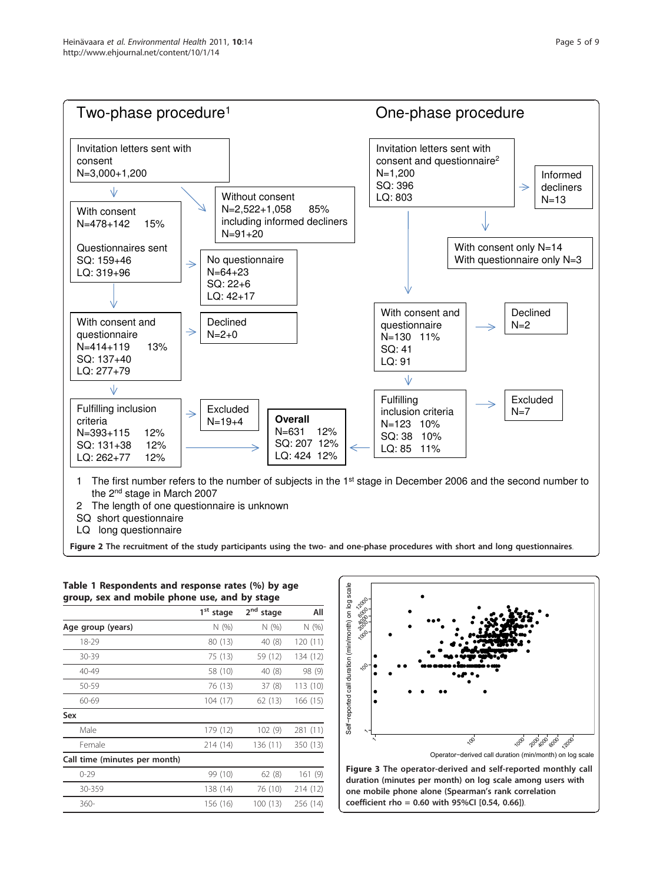<span id="page-5-0"></span>

Figure 2 The recruitment of the study participants using the two- and one-phase procedures with short and long questionnaires.

|                               | group, sex and mobile phone use, and by stage |                          |          |  |  |
|-------------------------------|-----------------------------------------------|--------------------------|----------|--|--|
|                               | 1 <sup>st</sup><br>stage                      | 2 <sup>nd</sup><br>stage | All      |  |  |
| Age group (years)             | N(%)                                          | N(%)                     | N (%)    |  |  |
| 18-29                         | 80 (13)                                       | 40 (8)                   | 120 (11) |  |  |
| 30-39                         | 75 (13)                                       | 59 (12)                  | 134 (12) |  |  |
| 40-49                         | 58 (10)                                       | 40 (8)                   | 98 (9)   |  |  |
| 50-59                         | 76 (13)                                       | 37(8)                    | 113 (10) |  |  |
| 60-69                         | 104 (17)                                      | 62 (13)                  | 166 (15) |  |  |
| Sex                           |                                               |                          |          |  |  |
| Male                          | 179 (12)                                      | 102(9)                   | 281 (11) |  |  |
| Female                        | 214 (14)                                      | 136 (11)                 | 350 (13) |  |  |
| Call time (minutes per month) |                                               |                          |          |  |  |
| $0 - 29$                      | 99 (10)                                       | 62(8)                    | 161(9)   |  |  |
| 30-359                        | 138 (14)                                      | 76 (10)                  | 214 (12) |  |  |
| $360-$                        | 156 (16)                                      | 100 (13)                 | 256 (14) |  |  |
|                               |                                               |                          |          |  |  |





Figure 3 The operator-derived and self-reported monthly call duration (minutes per month) on log scale among users with one mobile phone alone (Spearman's rank correlation coefficient rho = 0.60 with 95%CI [0.54, 0.66]).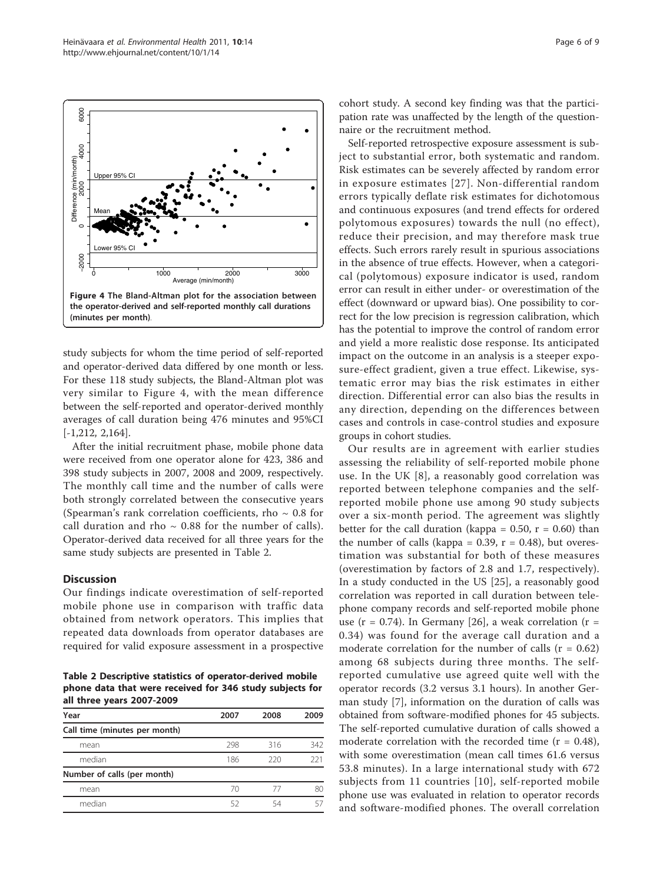<span id="page-6-0"></span>

study subjects for whom the time period of self-reported and operator-derived data differed by one month or less. For these 118 study subjects, the Bland-Altman plot was very similar to Figure 4, with the mean difference between the self-reported and operator-derived monthly averages of call duration being 476 minutes and 95%CI [-1,212, 2,164].

After the initial recruitment phase, mobile phone data were received from one operator alone for 423, 386 and 398 study subjects in 2007, 2008 and 2009, respectively. The monthly call time and the number of calls were both strongly correlated between the consecutive years (Spearman's rank correlation coefficients, rho  $\sim 0.8$  for call duration and rho  $\sim$  0.88 for the number of calls). Operator-derived data received for all three years for the same study subjects are presented in Table 2.

#### **Discussion**

Our findings indicate overestimation of self-reported mobile phone use in comparison with traffic data obtained from network operators. This implies that repeated data downloads from operator databases are required for valid exposure assessment in a prospective

Table 2 Descriptive statistics of operator-derived mobile phone data that were received for 346 study subjects for all three years 2007-2009

| Year                          | 2007 | 2008 | 2009 |
|-------------------------------|------|------|------|
| Call time (minutes per month) |      |      |      |
| mean                          | 298  | 316  | 342  |
| median                        | 186  | 220  | 221  |
| Number of calls (per month)   |      |      |      |
| mean                          | 70   | 77   | 80   |
| median                        | 52   | 54   |      |

cohort study. A second key finding was that the participation rate was unaffected by the length of the questionnaire or the recruitment method.

Self-reported retrospective exposure assessment is subject to substantial error, both systematic and random. Risk estimates can be severely affected by random error in exposure estimates [[27](#page-9-0)]. Non-differential random errors typically deflate risk estimates for dichotomous and continuous exposures (and trend effects for ordered polytomous exposures) towards the null (no effect), reduce their precision, and may therefore mask true effects. Such errors rarely result in spurious associations in the absence of true effects. However, when a categorical (polytomous) exposure indicator is used, random error can result in either under- or overestimation of the effect (downward or upward bias). One possibility to correct for the low precision is regression calibration, which has the potential to improve the control of random error and yield a more realistic dose response. Its anticipated impact on the outcome in an analysis is a steeper exposure-effect gradient, given a true effect. Likewise, systematic error may bias the risk estimates in either direction. Differential error can also bias the results in any direction, depending on the differences between cases and controls in case-control studies and exposure groups in cohort studies.

Our results are in agreement with earlier studies assessing the reliability of self-reported mobile phone use. In the UK [[8\]](#page-9-0), a reasonably good correlation was reported between telephone companies and the selfreported mobile phone use among 90 study subjects over a six-month period. The agreement was slightly better for the call duration (kappa =  $0.50$ , r =  $0.60$ ) than the number of calls (kappa =  $0.39$ ,  $r = 0.48$ ), but overestimation was substantial for both of these measures (overestimation by factors of 2.8 and 1.7, respectively). In a study conducted in the US [\[25](#page-9-0)], a reasonably good correlation was reported in call duration between telephone company records and self-reported mobile phone use ( $r = 0.74$ ). In Germany [[26\]](#page-9-0), a weak correlation ( $r =$ 0.34) was found for the average call duration and a moderate correlation for the number of calls  $(r = 0.62)$ among 68 subjects during three months. The selfreported cumulative use agreed quite well with the operator records (3.2 versus 3.1 hours). In another German study [[7\]](#page-9-0), information on the duration of calls was obtained from software-modified phones for 45 subjects. The self-reported cumulative duration of calls showed a moderate correlation with the recorded time  $(r = 0.48)$ , with some overestimation (mean call times 61.6 versus 53.8 minutes). In a large international study with 672 subjects from 11 countries [[10\]](#page-9-0), self-reported mobile phone use was evaluated in relation to operator records and software-modified phones. The overall correlation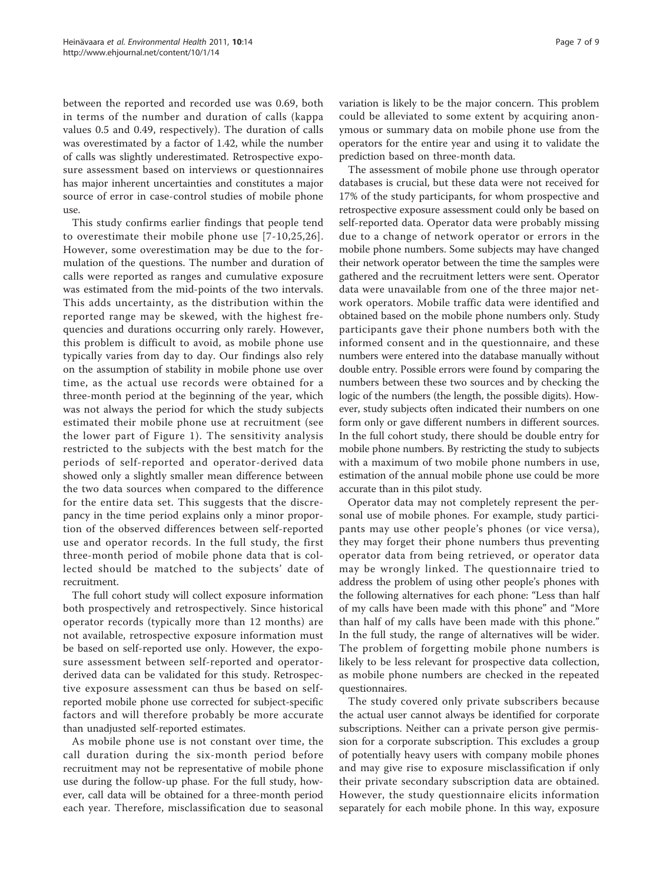between the reported and recorded use was 0.69, both in terms of the number and duration of calls (kappa values 0.5 and 0.49, respectively). The duration of calls was overestimated by a factor of 1.42, while the number of calls was slightly underestimated. Retrospective exposure assessment based on interviews or questionnaires has major inherent uncertainties and constitutes a major source of error in case-control studies of mobile phone use.

This study confirms earlier findings that people tend to overestimate their mobile phone use [[7-10,25,26\]](#page-9-0). However, some overestimation may be due to the formulation of the questions. The number and duration of calls were reported as ranges and cumulative exposure was estimated from the mid-points of the two intervals. This adds uncertainty, as the distribution within the reported range may be skewed, with the highest frequencies and durations occurring only rarely. However, this problem is difficult to avoid, as mobile phone use typically varies from day to day. Our findings also rely on the assumption of stability in mobile phone use over time, as the actual use records were obtained for a three-month period at the beginning of the year, which was not always the period for which the study subjects estimated their mobile phone use at recruitment (see the lower part of Figure [1\)](#page-4-0). The sensitivity analysis restricted to the subjects with the best match for the periods of self-reported and operator-derived data showed only a slightly smaller mean difference between the two data sources when compared to the difference for the entire data set. This suggests that the discrepancy in the time period explains only a minor proportion of the observed differences between self-reported use and operator records. In the full study, the first three-month period of mobile phone data that is collected should be matched to the subjects' date of recruitment.

The full cohort study will collect exposure information both prospectively and retrospectively. Since historical operator records (typically more than 12 months) are not available, retrospective exposure information must be based on self-reported use only. However, the exposure assessment between self-reported and operatorderived data can be validated for this study. Retrospective exposure assessment can thus be based on selfreported mobile phone use corrected for subject-specific factors and will therefore probably be more accurate than unadjusted self-reported estimates.

As mobile phone use is not constant over time, the call duration during the six-month period before recruitment may not be representative of mobile phone use during the follow-up phase. For the full study, however, call data will be obtained for a three-month period each year. Therefore, misclassification due to seasonal variation is likely to be the major concern. This problem could be alleviated to some extent by acquiring anonymous or summary data on mobile phone use from the

prediction based on three-month data. The assessment of mobile phone use through operator databases is crucial, but these data were not received for 17% of the study participants, for whom prospective and retrospective exposure assessment could only be based on self-reported data. Operator data were probably missing due to a change of network operator or errors in the mobile phone numbers. Some subjects may have changed their network operator between the time the samples were gathered and the recruitment letters were sent. Operator data were unavailable from one of the three major network operators. Mobile traffic data were identified and obtained based on the mobile phone numbers only. Study participants gave their phone numbers both with the informed consent and in the questionnaire, and these numbers were entered into the database manually without double entry. Possible errors were found by comparing the numbers between these two sources and by checking the logic of the numbers (the length, the possible digits). However, study subjects often indicated their numbers on one form only or gave different numbers in different sources. In the full cohort study, there should be double entry for mobile phone numbers. By restricting the study to subjects with a maximum of two mobile phone numbers in use, estimation of the annual mobile phone use could be more accurate than in this pilot study.

operators for the entire year and using it to validate the

Operator data may not completely represent the personal use of mobile phones. For example, study participants may use other people's phones (or vice versa), they may forget their phone numbers thus preventing operator data from being retrieved, or operator data may be wrongly linked. The questionnaire tried to address the problem of using other people's phones with the following alternatives for each phone: "Less than half of my calls have been made with this phone" and "More than half of my calls have been made with this phone." In the full study, the range of alternatives will be wider. The problem of forgetting mobile phone numbers is likely to be less relevant for prospective data collection, as mobile phone numbers are checked in the repeated questionnaires.

The study covered only private subscribers because the actual user cannot always be identified for corporate subscriptions. Neither can a private person give permission for a corporate subscription. This excludes a group of potentially heavy users with company mobile phones and may give rise to exposure misclassification if only their private secondary subscription data are obtained. However, the study questionnaire elicits information separately for each mobile phone. In this way, exposure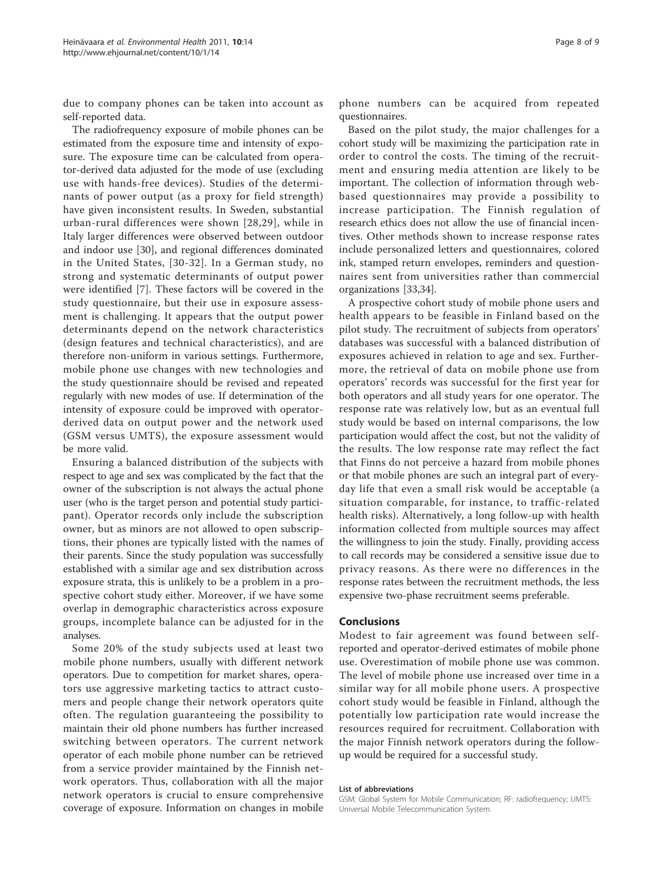due to company phones can be taken into account as self-reported data.

The radiofrequency exposure of mobile phones can be estimated from the exposure time and intensity of exposure. The exposure time can be calculated from operator-derived data adjusted for the mode of use (excluding use with hands-free devices). Studies of the determinants of power output (as a proxy for field strength) have given inconsistent results. In Sweden, substantial urban-rural differences were shown [[28,29\]](#page-9-0), while in Italy larger differences were observed between outdoor and indoor use [[30\]](#page-9-0), and regional differences dominated in the United States, [\[30-32](#page-9-0)]. In a German study, no strong and systematic determinants of output power were identified [[7\]](#page-9-0). These factors will be covered in the study questionnaire, but their use in exposure assessment is challenging. It appears that the output power determinants depend on the network characteristics (design features and technical characteristics), and are therefore non-uniform in various settings. Furthermore, mobile phone use changes with new technologies and the study questionnaire should be revised and repeated regularly with new modes of use. If determination of the intensity of exposure could be improved with operatorderived data on output power and the network used (GSM versus UMTS), the exposure assessment would be more valid.

Ensuring a balanced distribution of the subjects with respect to age and sex was complicated by the fact that the owner of the subscription is not always the actual phone user (who is the target person and potential study participant). Operator records only include the subscription owner, but as minors are not allowed to open subscriptions, their phones are typically listed with the names of their parents. Since the study population was successfully established with a similar age and sex distribution across exposure strata, this is unlikely to be a problem in a prospective cohort study either. Moreover, if we have some overlap in demographic characteristics across exposure groups, incomplete balance can be adjusted for in the analyses.

Some 20% of the study subjects used at least two mobile phone numbers, usually with different network operators. Due to competition for market shares, operators use aggressive marketing tactics to attract customers and people change their network operators quite often. The regulation guaranteeing the possibility to maintain their old phone numbers has further increased switching between operators. The current network operator of each mobile phone number can be retrieved from a service provider maintained by the Finnish network operators. Thus, collaboration with all the major network operators is crucial to ensure comprehensive coverage of exposure. Information on changes in mobile

phone numbers can be acquired from repeated questionnaires.

Based on the pilot study, the major challenges for a cohort study will be maximizing the participation rate in order to control the costs. The timing of the recruitment and ensuring media attention are likely to be important. The collection of information through webbased questionnaires may provide a possibility to increase participation. The Finnish regulation of research ethics does not allow the use of financial incentives. Other methods shown to increase response rates include personalized letters and questionnaires, colored ink, stamped return envelopes, reminders and questionnaires sent from universities rather than commercial organizations [\[33,34](#page-9-0)].

A prospective cohort study of mobile phone users and health appears to be feasible in Finland based on the pilot study. The recruitment of subjects from operators' databases was successful with a balanced distribution of exposures achieved in relation to age and sex. Furthermore, the retrieval of data on mobile phone use from operators' records was successful for the first year for both operators and all study years for one operator. The response rate was relatively low, but as an eventual full study would be based on internal comparisons, the low participation would affect the cost, but not the validity of the results. The low response rate may reflect the fact that Finns do not perceive a hazard from mobile phones or that mobile phones are such an integral part of everyday life that even a small risk would be acceptable (a situation comparable, for instance, to traffic-related health risks). Alternatively, a long follow-up with health information collected from multiple sources may affect the willingness to join the study. Finally, providing access to call records may be considered a sensitive issue due to privacy reasons. As there were no differences in the response rates between the recruitment methods, the less expensive two-phase recruitment seems preferable.

#### Conclusions

Modest to fair agreement was found between selfreported and operator-derived estimates of mobile phone use. Overestimation of mobile phone use was common. The level of mobile phone use increased over time in a similar way for all mobile phone users. A prospective cohort study would be feasible in Finland, although the potentially low participation rate would increase the resources required for recruitment. Collaboration with the major Finnish network operators during the followup would be required for a successful study.

#### List of abbreviations

GSM: Global System for Mobile Communication; RF: radiofrequency; UMTS: Universal Mobile Telecommunication System.